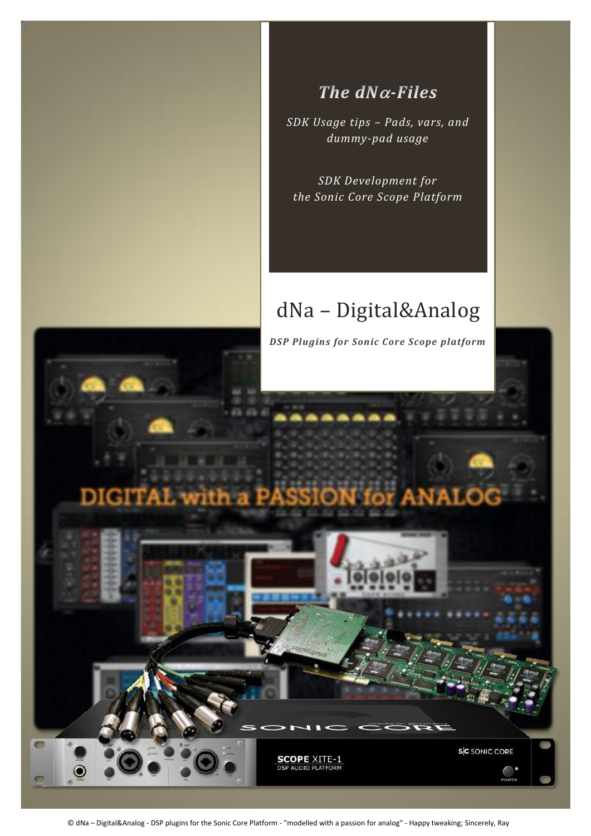

# The  $dN\alpha$ -Files

*SDK Usage tips – Pads, vars, and dummy-pad usage*

*SDK Development for the Sonic Core Scope Platform*

# dNa – Digital&Analog



© dNa – Digital&Analog - DSP plugins for the Sonic Core Platform - "modelled with a passion for analog" - Happy tweaking; Sincerely, Ray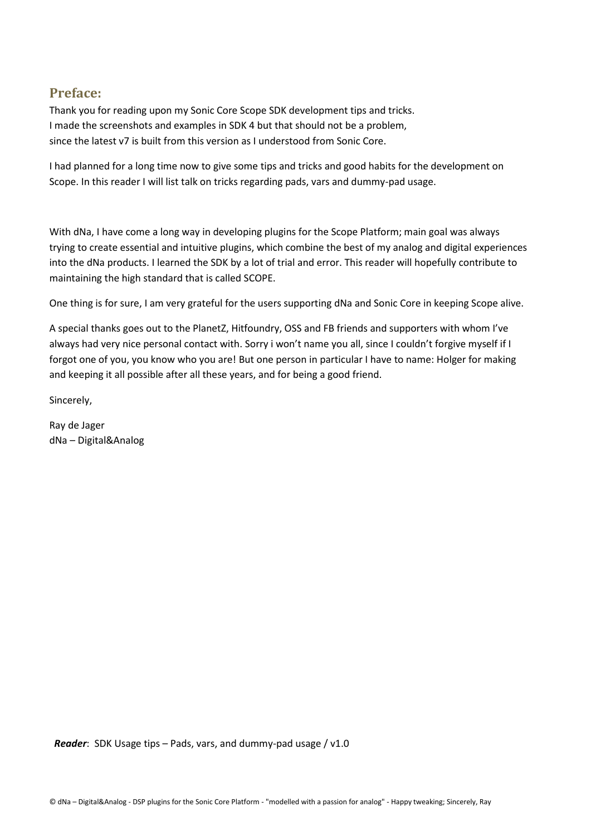#### **Preface:**

Thank you for reading upon my Sonic Core Scope SDK development tips and tricks. I made the screenshots and examples in SDK 4 but that should not be a problem, since the latest v7 is built from this version as I understood from Sonic Core.

I had planned for a long time now to give some tips and tricks and good habits for the development on Scope. In this reader I will list talk on tricks regarding pads, vars and dummy-pad usage.

With dNa, I have come a long way in developing plugins for the Scope Platform; main goal was always trying to create essential and intuitive plugins, which combine the best of my analog and digital experiences into the dNa products. I learned the SDK by a lot of trial and error. This reader will hopefully contribute to maintaining the high standard that is called SCOPE.

One thing is for sure, I am very grateful for the users supporting dNa and Sonic Core in keeping Scope alive.

A special thanks goes out to the PlanetZ, Hitfoundry, OSS and FB friends and supporters with whom I've always had very nice personal contact with. Sorry i won't name you all, since I couldn't forgive myself if I forgot one of you, you know who you are! But one person in particular I have to name: Holger for making and keeping it all possible after all these years, and for being a good friend.

Sincerely,

Ray de Jager dNa – Digital&Analog

 *Reader*: SDK Usage tips – Pads, vars, and dummy-pad usage / v1.0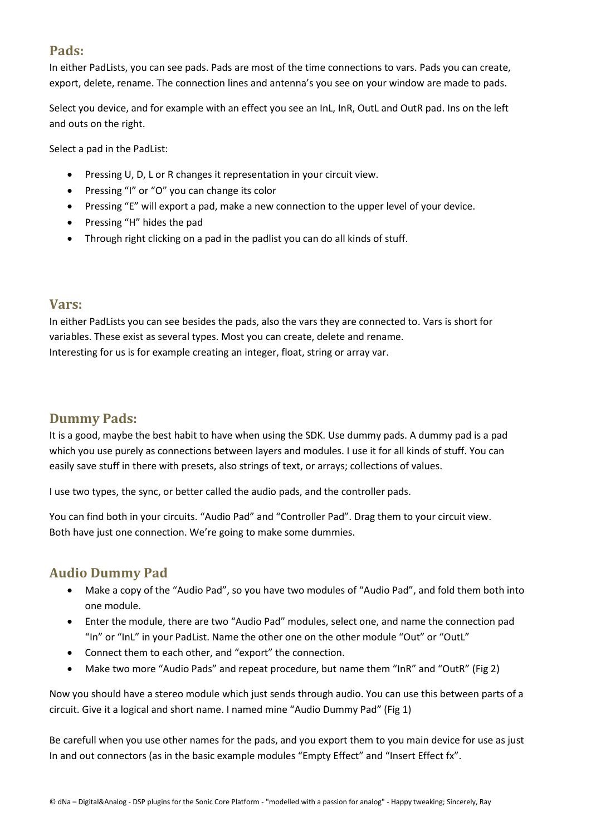# **Pads:**

In either PadLists, you can see pads. Pads are most of the time connections to vars. Pads you can create, export, delete, rename. The connection lines and antenna's you see on your window are made to pads.

Select you device, and for example with an effect you see an InL, InR, OutL and OutR pad. Ins on the left and outs on the right.

Select a pad in the PadList:

- Pressing U, D, L or R changes it representation in your circuit view.
- Pressing "I" or "O" you can change its color
- Pressing "E" will export a pad, make a new connection to the upper level of your device.
- Pressing "H" hides the pad
- Through right clicking on a pad in the padlist you can do all kinds of stuff.

#### **Vars:**

In either PadLists you can see besides the pads, also the vars they are connected to. Vars is short for variables. These exist as several types. Most you can create, delete and rename. Interesting for us is for example creating an integer, float, string or array var.

#### **Dummy Pads:**

It is a good, maybe the best habit to have when using the SDK. Use dummy pads. A dummy pad is a pad which you use purely as connections between layers and modules. I use it for all kinds of stuff. You can easily save stuff in there with presets, also strings of text, or arrays; collections of values.

I use two types, the sync, or better called the audio pads, and the controller pads.

You can find both in your circuits. "Audio Pad" and "Controller Pad". Drag them to your circuit view. Both have just one connection. We're going to make some dummies.

### **Audio Dummy Pad**

- Make a copy of the "Audio Pad", so you have two modules of "Audio Pad", and fold them both into one module.
- Enter the module, there are two "Audio Pad" modules, select one, and name the connection pad "In" or "InL" in your PadList. Name the other one on the other module "Out" or "OutL"
- Connect them to each other, and "export" the connection.
- Make two more "Audio Pads" and repeat procedure, but name them "InR" and "OutR" (Fig 2)

Now you should have a stereo module which just sends through audio. You can use this between parts of a circuit. Give it a logical and short name. I named mine "Audio Dummy Pad" (Fig 1)

Be carefull when you use other names for the pads, and you export them to you main device for use as just In and out connectors (as in the basic example modules "Empty Effect" and "Insert Effect fx".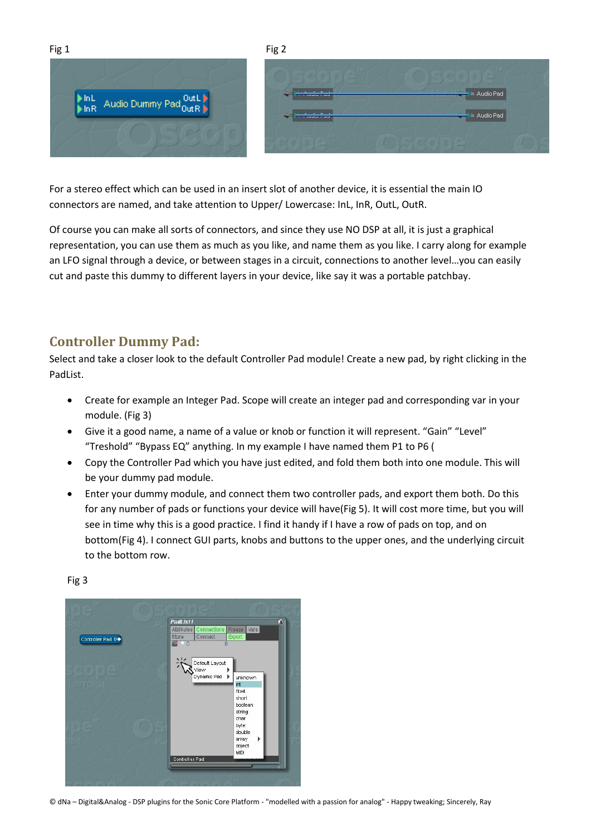



For a stereo effect which can be used in an insert slot of another device, it is essential the main IO connectors are named, and take attention to Upper/ Lowercase: InL, InR, OutL, OutR.

Of course you can make all sorts of connectors, and since they use NO DSP at all, it is just a graphical representation, you can use them as much as you like, and name them as you like. I carry along for example an LFO signal through a device, or between stages in a circuit, connections to another level…you can easily cut and paste this dummy to different layers in your device, like say it was a portable patchbay.

## **Controller Dummy Pad:**

Select and take a closer look to the default Controller Pad module! Create a new pad, by right clicking in the PadList.

- Create for example an Integer Pad. Scope will create an integer pad and corresponding var in your module. (Fig 3)
- Give it a good name, a name of a value or knob or function it will represent. "Gain" "Level" "Treshold" "Bypass EQ" anything. In my example I have named them P1 to P6 (
- Copy the Controller Pad which you have just edited, and fold them both into one module. This will be your dummy pad module.
- Enter your dummy module, and connect them two controller pads, and export them both. Do this for any number of pads or functions your device will have(Fig 5). It will cost more time, but you will see in time why this is a good practice. I find it handy if I have a row of pads on top, and on bottom(Fig 4). I connect GUI parts, knobs and buttons to the upper ones, and the underlying circuit to the bottom row.



Fig 3